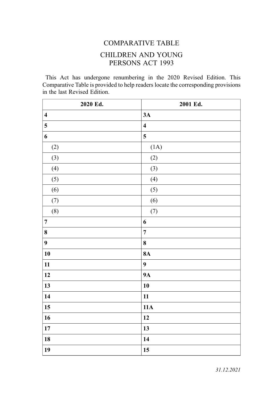## COMPARATIVE TABLE CHILDREN AND YOUNG PERSONS ACT 1993

This Act has undergone renumbering in the 2020 Revised Edition. This Comparative Table is provided to help readers locate the corresponding provisions in the last Revised Edition.

| 2020 Ed.                | 2001 Ed.                |
|-------------------------|-------------------------|
| $\overline{\mathbf{4}}$ | 3A                      |
| 5                       | $\overline{\mathbf{4}}$ |
| 6                       | 5                       |
| (2)                     | (1A)                    |
| (3)                     | (2)                     |
| (4)                     | (3)                     |
| (5)                     | (4)                     |
| (6)                     | (5)                     |
| (7)                     | (6)                     |
| (8)                     | (7)                     |
| $\overline{7}$          | $\boldsymbol{6}$        |
| 8                       | $\overline{7}$          |
| $\boldsymbol{9}$        | $\pmb{8}$               |
| ${\bf 10}$              | <b>8A</b>               |
| 11                      | $\boldsymbol{9}$        |
| 12                      | <b>9A</b>               |
| 13                      | 10                      |
| 14                      | 11                      |
| 15                      | 11A                     |
| 16                      | 12                      |
| $17\,$                  | 13                      |
| 18                      | 14                      |
| 19                      | 15                      |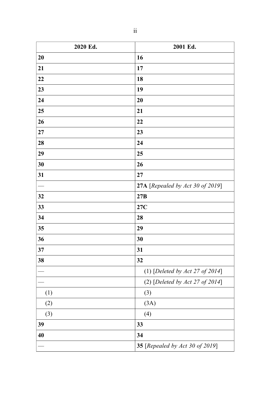| 2020 Ed. | 2001 Ed.                         |  |
|----------|----------------------------------|--|
| 20       | 16                               |  |
| 21       | 17                               |  |
| 22       | 18                               |  |
| 23       | 19                               |  |
| 24       | 20                               |  |
| 25       | 21                               |  |
| 26       | 22                               |  |
| 27       | 23                               |  |
| 28       | 24                               |  |
| 29       | 25                               |  |
| 30       | 26                               |  |
| 31       | 27                               |  |
|          | 27A [Repealed by Act 30 of 2019] |  |
| 32       | 27B                              |  |
| 33       | 27C                              |  |
| 34       | 28                               |  |
| 35       | 29                               |  |
| 36       | 30                               |  |
| 37       | 31                               |  |
| 38       | 32                               |  |
|          | (1) [Deleted by Act 27 of 2014]  |  |
|          | (2) [Deleted by Act 27 of 2014]  |  |
| (1)      | (3)                              |  |
| (2)      | (3A)                             |  |
| (3)      | (4)                              |  |
| 39       | 33                               |  |
| 40       | 34                               |  |
|          | 35 [Repealed by Act 30 of 2019]  |  |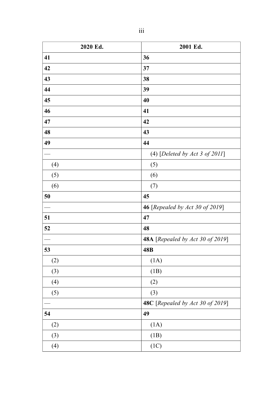| 2020 Ed. | 2001 Ed.                          |
|----------|-----------------------------------|
| 41       | 36                                |
| 42       | 37                                |
| 43       | 38                                |
| 44       | 39                                |
| 45       | 40                                |
| 46       | 41                                |
| 47       | 42                                |
| 48       | 43                                |
| 49       | 44                                |
|          | (4) [Deleted by Act 3 of $2011$ ] |
| (4)      | (5)                               |
| (5)      | (6)                               |
| (6)      | (7)                               |
| 50       | 45                                |
|          | 46 [Repealed by Act 30 of 2019]   |
| 51       | 47                                |
| 52       | 48                                |
|          | 48A [Repealed by Act 30 of 2019]  |
| 53       | 48B                               |
| (2)      | (1A)                              |
| (3)      | (1B)                              |
| (4)      | (2)                               |
| (5)      | (3)                               |
|          | 48C [Repealed by Act 30 of 2019]  |
| 54       | 49                                |
| (2)      | (1A)                              |
| (3)      | (1B)                              |
| (4)      | (1C)                              |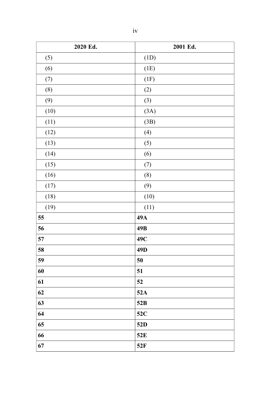| 2020 Ed. | 2001 Ed.        |
|----------|-----------------|
| (5)      | (1D)            |
| (6)      | (1E)            |
| (7)      | (1F)            |
| (8)      | (2)             |
| (9)      | (3)             |
| (10)     | (3A)            |
| (11)     | (3B)            |
| (12)     | (4)             |
| (13)     | (5)             |
| (14)     | (6)             |
| (15)     | (7)             |
| (16)     | (8)             |
| (17)     | (9)             |
| (18)     | (10)            |
| (19)     | (11)            |
| 55       | 49A             |
| 56       | 49B             |
| 57       | 49C             |
| 58       | 49 <sub>D</sub> |
| 59       | 50              |
| 60       | 51              |
| 61       | 52              |
| 62       | 52A             |
| 63       | 52B             |
| 64       | 52C             |
| 65       | 52D             |
| 66       | 52E             |
| 67       | 52F             |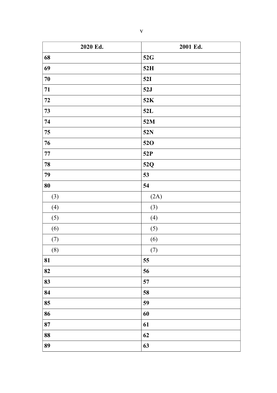| 2020 Ed.   | 2001 Ed. |
|------------|----------|
| 68         | 52G      |
| 69         | 52H      |
| $70\,$     | 52I      |
| 71         | 52J      |
| 72         | 52K      |
| 73         | 52L      |
| 74         | 52M      |
| 75         | 52N      |
| 76         | 520      |
| $77\,$     | 52P      |
| 78         | 52Q      |
| 79         | 53       |
| ${\bf 80}$ | 54       |
| (3)        | (2A)     |
| (4)        | (3)      |
| (5)        | (4)      |
| (6)        | (5)      |
| (7)        | (6)      |
| (8)        | (7)      |
| 81         | 55       |
| 82         | 56       |
| 83         | 57       |
| 84         | 58       |
| 85         | 59       |
| 86         | 60       |
| 87         | 61       |
| 88         | 62       |
| 89         | 63       |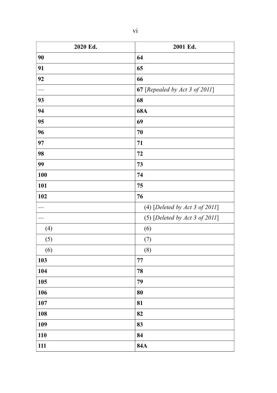| I |  |
|---|--|
|   |  |
|   |  |

| 2020 Ed. | 2001 Ed.                       |
|----------|--------------------------------|
| 90       | 64                             |
| 91       | 65                             |
| 92       | 66                             |
|          | 67 [Repealed by Act 3 of 2011] |
| 93       | 68                             |
| 94       | <b>68A</b>                     |
| 95       | 69                             |
| 96       | 70                             |
| 97       | 71                             |
| 98       | 72                             |
| 99       | 73                             |
| 100      | 74                             |
| 101      | 75                             |
| 102      | 76                             |
|          | (4) [Deleted by Act 3 of 2011] |
|          | (5) [Deleted by Act 3 of 2011] |
| (4)      | (6)                            |
| (5)      | (7)                            |
| (6)      | (8)                            |
| 103      | 77                             |
| 104      | 78                             |
| 105      | 79                             |
| 106      | 80                             |
| 107      | 81                             |
| 108      | 82                             |
| 109      | 83                             |
| 110      | 84                             |
| 111      | <b>84A</b>                     |